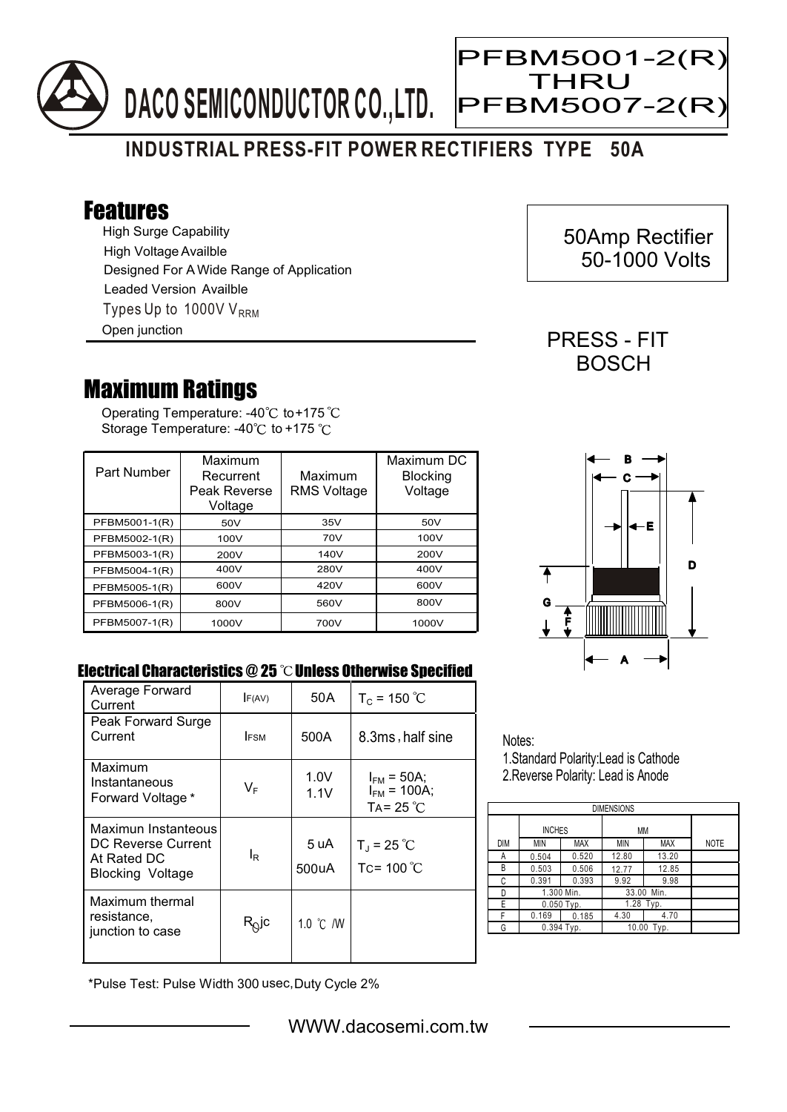

Ξ

## **INDUSTRIAL PRESS-FIT POWER RECTIFIERS TYPE 50A**

## Features

High Surge Capability Types Up to 1000V  $V_{RRM}$ High Voltage Availble Designed For A Wide Range of Application Leaded Version Availble Open junction

## Maximum Ratings

Operating Temperature: -40 $^\circ\text{C}$  to+175 Storage Temperature: -40 $\degree$ C to +175 $\degree$ C

| Part Number   | Maximum<br>Recurrent<br>Peak Reverse<br>Voltage | Maximum<br><b>RMS Voltage</b> | Maximum DC<br><b>Blocking</b><br>Voltage |
|---------------|-------------------------------------------------|-------------------------------|------------------------------------------|
| PFBM5001-1(R) | 50V                                             | 35V                           | 50V                                      |
| PFBM5002-1(R) | 100V                                            | 70V                           | 100V                                     |
| PFBM5003-1(R) | 200V                                            | 140V                          | 200V                                     |
| PFBM5004-1(R) | 400V                                            | 280V                          | 400V                                     |
| PFBM5005-1(R) | 600V                                            | 420V                          | 600V                                     |
| PFBM5006-1(R) | 800V                                            | 560V                          | 800V                                     |
| PFBM5007-1(R) | 1000V                                           | 700V                          | 1000V                                    |



## Electrical Characteristics @ 25 °C Unless Otherwise Specified

| Average Forward<br>Current                                                          | F(AV)       | 50 A          | $T_c$ = 150 °C                                             |
|-------------------------------------------------------------------------------------|-------------|---------------|------------------------------------------------------------|
| Peak Forward Surge<br>Current                                                       | <b>IFSM</b> | 500A          | 8.3ms, half sine                                           |
| Maximum<br>Instantaneous<br>Forward Voltage *                                       | VF          | 1.0V<br>1.1V  | $I_{FM}$ = 50A;<br>$I_{FM}$ = 100A;<br>TA= 25 $^{\circ}$ C |
| Maximun Instanteous<br>DC Reverse Current<br>At Rated DC<br><b>Blocking Voltage</b> | lR.         | 5 uA<br>500uA | $T_{\rm J}$ = 25 °C<br>Tc= $100^{\circ}$ C                 |
| Maximum thermal<br>resistance,<br>junction to case                                  | $R^{O}$ lc  | 1.0 °C /W     |                                                            |

Notes:

1.Standard Polarity:Lead is Cathode 2.Reverse Polarity: Lead is Anode

| <b>DIMENSIONS</b> |               |       |               |            |             |  |  |  |
|-------------------|---------------|-------|---------------|------------|-------------|--|--|--|
|                   | <b>INCHES</b> |       | МM            |            |             |  |  |  |
| <b>DIM</b>        | MIN           | MAX   | <b>MIN</b>    | <b>MAX</b> | <b>NOTE</b> |  |  |  |
| А                 | 0.504         | 0.520 | 12.80         | 13.20      |             |  |  |  |
| B                 | 0.503         | 0.506 | 12.77         | 12.85      |             |  |  |  |
| C                 | 0.391         | 0.393 | 9.92          | 9.98       |             |  |  |  |
| D                 | 1.300 Min.    |       | 33.00 Min.    |            |             |  |  |  |
| E                 | $0.050$ Typ.  |       | 1.28 Typ.     |            |             |  |  |  |
| F                 | 0.169         | 0.185 | 4.30          | 4.70       |             |  |  |  |
| G                 | 0.394 Typ.    |       | 10.00<br>Typ. |            |             |  |  |  |

\*Pulse Test: Pulse Width 300 usec,Duty Cycle 2%

 50Amp Rectifier 50-1000 Volts

PRESS - FIT **BOSCH**